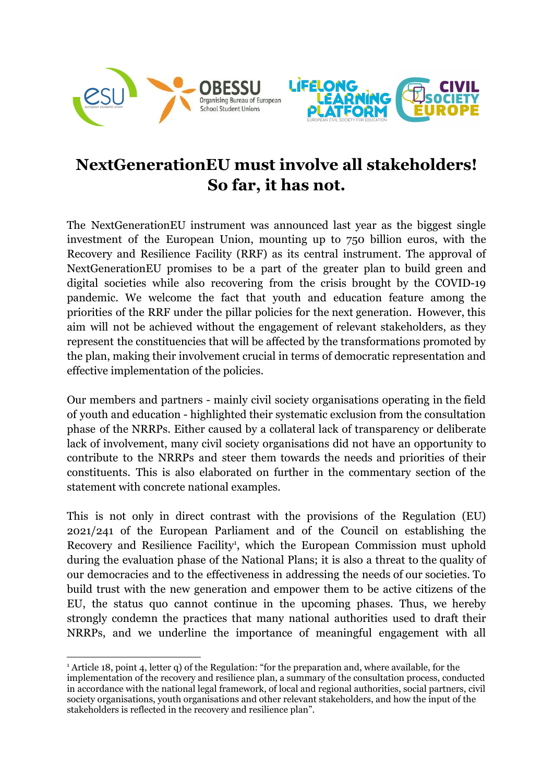



## **NextGenerationEU must involve all stakeholders! So far, it has not.**

The NextGenerationEU instrument was announced last year as the biggest single investment of the European Union, mounting up to 750 billion euros, with the Recovery and Resilience Facility (RRF) as its central instrument. The approval of NextGenerationEU promises to be a part of the greater plan to build green and digital societies while also recovering from the crisis brought by the COVID-19 pandemic. We welcome the fact that youth and education feature among the priorities of the RRF under the pillar policies for the next generation. However, this aim will not be achieved without the engagement of relevant stakeholders, as they represent the constituencies that will be affected by the transformations promoted by the plan, making their involvement crucial in terms of democratic representation and effective implementation of the policies.

Our members and partners - mainly civil society organisations operating in the field of youth and education - highlighted their systematic exclusion from the consultation phase of the NRRPs. Either caused by a collateral lack of transparency or deliberate lack of involvement, many civil society organisations did not have an opportunity to contribute to the NRRPs and steer them towards the needs and priorities of their constituents. This is also elaborated on further in the commentary section of the statement with concrete national examples.

This is not only in direct contrast with the provisions of the Regulation (EU) 2021/241 of the European Parliament and of the Council on establishing the Recovery and Resilience Facility<sup>1</sup>, which the European Commission must uphold during the evaluation phase of the National Plans; it is also a threat to the quality of our democracies and to the effectiveness in addressing the needs of our societies. To build trust with the new generation and empower them to be active citizens of the EU, the status quo cannot continue in the upcoming phases. Thus, we hereby strongly condemn the practices that many national authorities used to draft their NRRPs, and we underline the importance of meaningful engagement with all

<sup>&</sup>lt;sup>1</sup> Article 18, point 4, letter q) of the Regulation: "for the preparation and, where available, for the implementation of the recovery and resilience plan, a summary of the consultation process, conducted in accordance with the national legal framework, of local and regional authorities, social partners, civil society organisations, youth organisations and other relevant stakeholders, and how the input of the stakeholders is reflected in the recovery and resilience plan".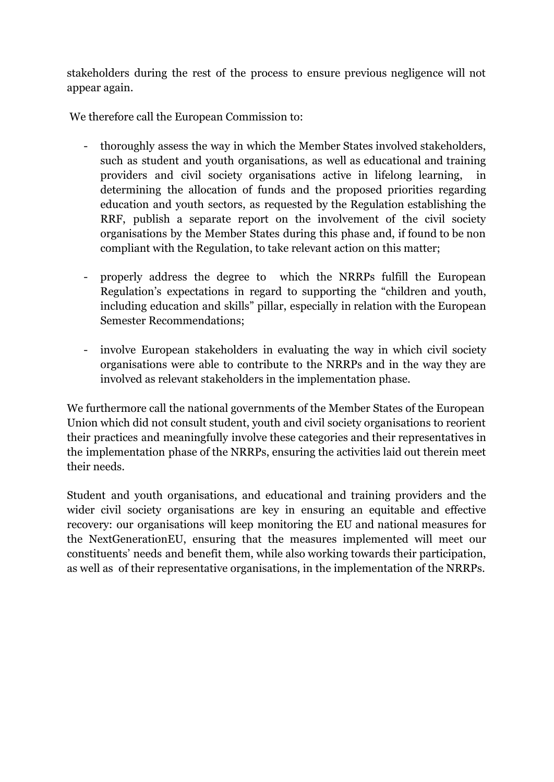stakeholders during the rest of the process to ensure previous negligence will not appear again.

We therefore call the European Commission to:

- thoroughly assess the way in which the Member States involved stakeholders, such as student and youth organisations, as well as educational and training providers and civil society organisations active in lifelong learning, in determining the allocation of funds and the proposed priorities regarding education and youth sectors, as requested by the Regulation establishing the RRF, publish a separate report on the involvement of the civil society organisations by the Member States during this phase and, if found to be non compliant with the Regulation, to take relevant action on this matter;
- properly address the degree to which the NRRPs fulfill the European Regulation's expectations in regard to supporting the "children and youth, including education and skills" pillar, especially in relation with the European Semester Recommendations;
- involve European stakeholders in evaluating the way in which civil society organisations were able to contribute to the NRRPs and in the way they are involved as relevant stakeholders in the implementation phase.

We furthermore call the national governments of the Member States of the European Union which did not consult student, youth and civil society organisations to reorient their practices and meaningfully involve these categories and their representatives in the implementation phase of the NRRPs, ensuring the activities laid out therein meet their needs.

Student and youth organisations, and educational and training providers and the wider civil society organisations are key in ensuring an equitable and effective recovery: our organisations will keep monitoring the EU and national measures for the NextGenerationEU, ensuring that the measures implemented will meet our constituents' needs and benefit them, while also working towards their participation, as well as of their representative organisations, in the implementation of the NRRPs.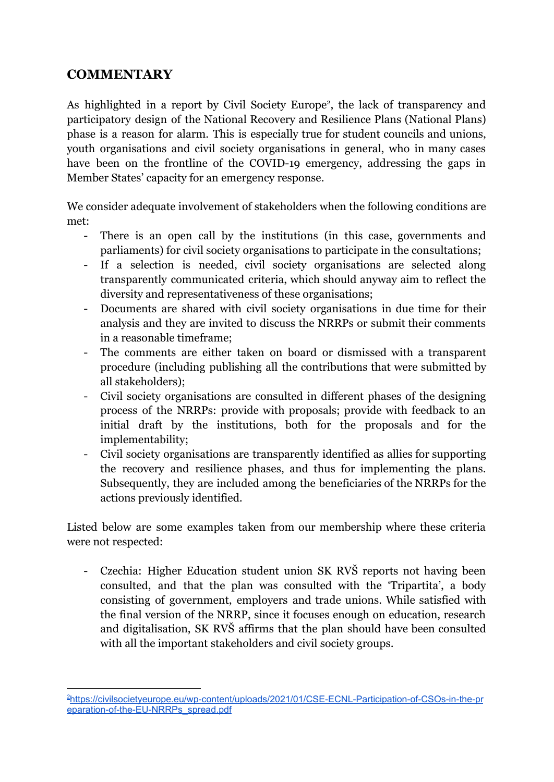## **COMMENTARY**

As highlighted in a report by Civil Society Europe<sup>2</sup>, the lack of transparency and participatory design of the National Recovery and Resilience Plans (National Plans) phase is a reason for alarm. This is especially true for student councils and unions, youth organisations and civil society organisations in general, who in many cases have been on the frontline of the COVID-19 emergency, addressing the gaps in Member States' capacity for an emergency response.

We consider adequate involvement of stakeholders when the following conditions are met:

- There is an open call by the institutions (in this case, governments and parliaments) for civil society organisations to participate in the consultations;
- If a selection is needed, civil society organisations are selected along transparently communicated criteria, which should anyway aim to reflect the diversity and representativeness of these organisations;
- Documents are shared with civil society organisations in due time for their analysis and they are invited to discuss the NRRPs or submit their comments in a reasonable timeframe;
- The comments are either taken on board or dismissed with a transparent procedure (including publishing all the contributions that were submitted by all stakeholders);
- Civil society organisations are consulted in different phases of the designing process of the NRRPs: provide with proposals; provide with feedback to an initial draft by the institutions, both for the proposals and for the implementability;
- Civil society organisations are transparently identified as allies for supporting the recovery and resilience phases, and thus for implementing the plans. Subsequently, they are included among the beneficiaries of the NRRPs for the actions previously identified*.*

Listed below are some examples taken from our membership where these criteria were not respected:

- Czechia: Higher Education student union SK RVŠ reports not having been consulted, and that the plan was consulted with the 'Tripartita', a body consisting of government, employers and trade unions. While satisfied with the final version of the NRRP, since it focuses enough on education, research and digitalisation, SK RVŠ affirms that the plan should have been consulted with all the important stakeholders and civil society groups.

<sup>2</sup>[https://civilsocietyeurope.eu/wp-content/uploads/2021/01/CSE-ECNL-Participation-of-CSOs-in-the-pr](https://civilsocietyeurope.eu/wp-content/uploads/2021/01/CSE-ECNL-Participation-of-CSOs-in-the-preparation-of-the-EU-NRRPs_spread.pdf) [eparation-of-the-EU-NRRPs\\_spread.pdf](https://civilsocietyeurope.eu/wp-content/uploads/2021/01/CSE-ECNL-Participation-of-CSOs-in-the-preparation-of-the-EU-NRRPs_spread.pdf)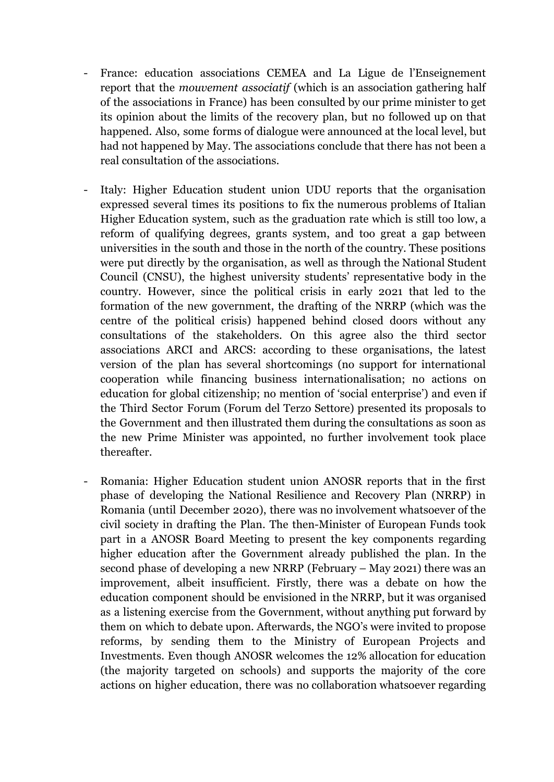- France: education associations CEMEA and La Ligue de l'Enseignement report that the *mouvement associatif* (which is an association gathering half of the associations in France) has been consulted by our prime minister to get its opinion about the limits of the recovery plan, but no followed up on that happened. Also, some forms of dialogue were announced at the local level, but had not happened by May. The associations conclude that there has not been a real consultation of the associations.
- Italy: Higher Education student union UDU reports that the organisation expressed several times its positions to fix the numerous problems of Italian Higher Education system, such as the graduation rate which is still too low, a reform of qualifying degrees, grants system, and too great a gap between universities in the south and those in the north of the country. These positions were put directly by the organisation, as well as through the National Student Council (CNSU), the highest university students' representative body in the country. However, since the political crisis in early 2021 that led to the formation of the new government, the drafting of the NRRP (which was the centre of the political crisis) happened behind closed doors without any consultations of the stakeholders. On this agree also the third sector associations ARCI and ARCS: according to these organisations, the latest version of the plan has several shortcomings (no support for international cooperation while financing business internationalisation; no actions on education for global citizenship; no mention of 'social enterprise') and even if the Third Sector Forum (Forum del Terzo Settore) presented its proposals to the Government and then illustrated them during the consultations as soon as the new Prime Minister was appointed, no further involvement took place thereafter.
- Romania: Higher Education student union ANOSR reports that in the first phase of developing the National Resilience and Recovery Plan (NRRP) in Romania (until December 2020), there was no involvement whatsoever of the civil society in drafting the Plan. The then-Minister of European Funds took part in a ANOSR Board Meeting to present the key components regarding higher education after the Government already published the plan. In the second phase of developing a new NRRP (February – May 2021) there was an improvement, albeit insufficient. Firstly, there was a debate on how the education component should be envisioned in the NRRP, but it was organised as a listening exercise from the Government, without anything put forward by them on which to debate upon. Afterwards, the NGO's were invited to propose reforms, by sending them to the Ministry of European Projects and Investments. Even though ANOSR welcomes the 12% allocation for education (the majority targeted on schools) and supports the majority of the core actions on higher education, there was no collaboration whatsoever regarding